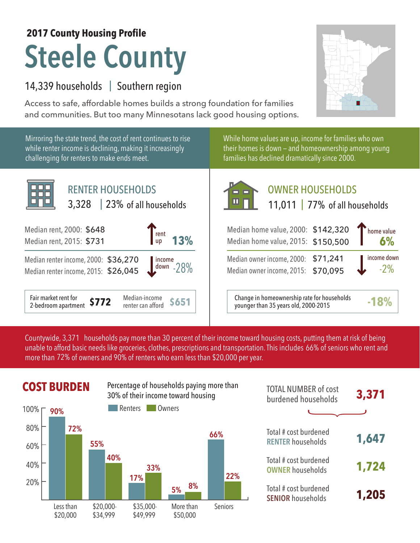## **Steele County 2017 County Housing Profile**

## 14,339 households | Southern region

Access to safe, affordable homes builds a strong foundation for families and communities. But too many Minnesotans lack good housing options.



Countywide, 3,371 households pay more than 30 percent of their income toward housing costs, putting them at risk of being unable to afford basic needs like groceries, clothes, prescriptions and transportation. This includes 66% of seniors who rent and more than 72% of owners and 90% of renters who earn less than \$20,000 per year.



| <b>TOTAL NUMBER of cost</b><br>burdened households | 3,371 |
|----------------------------------------------------|-------|
|                                                    |       |
| Total # cost burdened<br><b>RENTER households</b>  | 1,647 |
| Total # cost burdened<br><b>OWNER households</b>   | 1,724 |
| Total # cost burdened<br><b>SENIOR households</b>  | 1,205 |